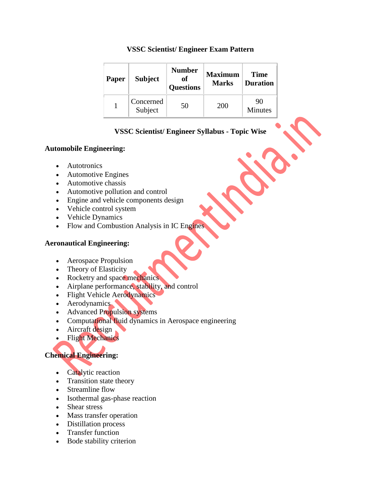#### **VSSC Scientist/ Engineer Exam Pattern**

| <b>Paper</b> | <b>Subject</b>       | <b>Number</b><br>of<br><b>Questions</b> | <b>Maximum</b><br><b>Marks</b> | <b>Time</b><br><b>Duration</b> |
|--------------|----------------------|-----------------------------------------|--------------------------------|--------------------------------|
|              | Concerned<br>Subject | 50                                      | 200                            | 90<br><b>Minutes</b>           |

# **VSSC Scientist/ Engineer Syllabus - Topic Wise**

## **Automobile Engineering:**

- Autotronics
- Automotive Engines
- Automotive chassis
- Automotive pollution and control
- Engine and vehicle components design
- Vehicle control system
- Vehicle Dynamics
- Flow and Combustion Analysis in IC Engines

# **Aeronautical Engineering:**

- Aerospace Propulsion
- Theory of Elasticity
- Rocketry and space mechanics.
- Airplane performance, stability, and control
- Flight Vehicle Aerodynamics
- Aerodynamics
- Advanced Propulsion systems
- Computational fluid dynamics in Aerospace engineering
- Aircraft design
- Flight Mechanics

# **Chemical Engineering:**

- Catalytic reaction
- Transition state theory
- Streamline flow
- Isothermal gas-phase reaction
- Shear stress
- Mass transfer operation
- Distillation process
- Transfer function
- Bode stability criterion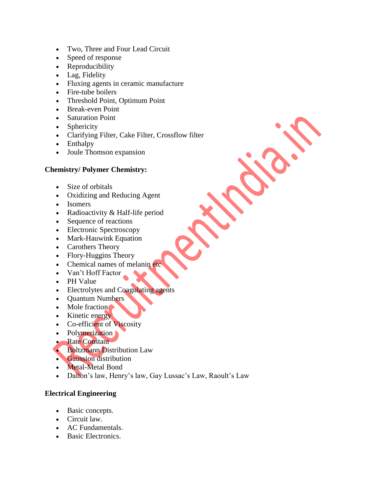- Two, Three and Four Lead Circuit
- Speed of response
- Reproducibility
- Lag, Fidelity
- Fluxing agents in ceramic manufacture
- Fire-tube boilers
- Threshold Point, Optimum Point
- Break-even Point
- Saturation Point
- Sphericity
- Clarifying Filter, Cake Filter, Crossflow filter
- Enthalpy
- Joule Thomson expansion

#### **Chemistry/ Polymer Chemistry:**

- Size of orbitals
- Oxidizing and Reducing Agent
- Isomers
- Radioactivity & Half-life period
- Sequence of reactions
- Electronic Spectroscopy
- Mark-Hauwink Equation
- Carothers Theory
- Flory-Huggins Theory
- Chemical names of melanin etc
- Van't Hoff Factor
- PH Value
- Electrolytes and Coagulating agents
- Ouantum Numbers
- Mole fraction
- Kinetic energy
- Co-efficient of Viscosity
- Polymerization
- **Rate Constant**
- Boltzmann Distribution Law
- **Gaussion distribution**
- Metal-Metal Bond
- Dalton's law, Henry's law, Gay Lussac's Law, Raoult's Law

## **Electrical Engineering**

- Basic concepts.
- Circuit law.
- AC Fundamentals.
- Basic Electronics.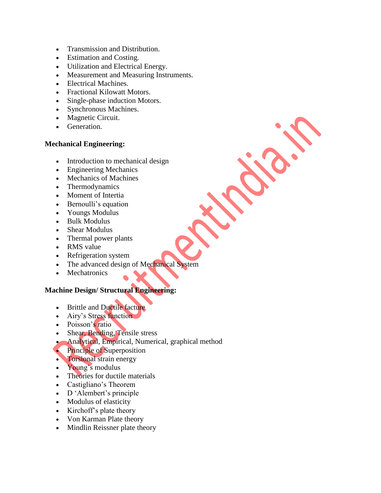- Transmission and Distribution.
- Estimation and Costing.
- Utilization and Electrical Energy.
- Measurement and Measuring Instruments.
- Electrical Machines.
- Fractional Kilowatt Motors.
- Single-phase induction Motors.
- Synchronous Machines.
- Magnetic Circuit.
- Generation.

#### **Mechanical Engineering:**

- Introduction to mechanical design
- Engineering Mechanics
- Mechanics of Machines
- Thermodynamics
- Moment of Intertia
- Bernoulli's equation
- Youngs Modulus
- Bulk Modulus
- Shear Modulus
- Thermal power plants
- RMS value
- Refrigeration system
- The advanced design of Mechanical System
- Mechatronics

#### **Machine Design/ Structural Engineering:**

- Brittle and Ductile facture
- Airy's Stress function
- Poisson's ratio
- Shear, Bending, Tensile stress
- Analytical, Empirical, Numerical, graphical method
- Principle of Superposition
- **Torsional strain energy**
- Young's modulus
- Theories for ductile materials
- Castigliano's Theorem
- D 'Alembert's principle
- Modulus of elasticity
- $\bullet$  Kirchoff's plate theory
- Von Karman Plate theory
- Mindlin Reissner plate theory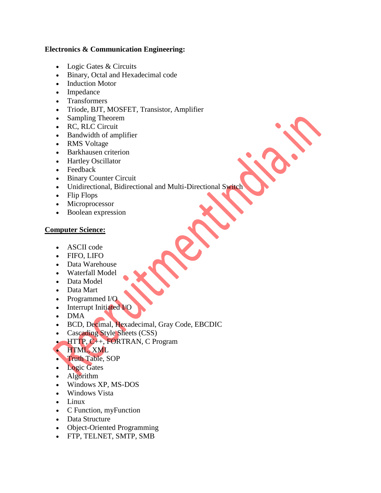#### **Electronics & Communication Engineering:**

- Logic Gates & Circuits
- Binary, Octal and Hexadecimal code
- Induction Motor
- Impedance
- Transformers
- Triode, BJT, MOSFET, Transistor, Amplifier
- Sampling Theorem
- RC, RLC Circuit
- Bandwidth of amplifier
- RMS Voltage
- Barkhausen criterion
- Hartley Oscillator
- Feedback
- Binary Counter Circuit
- Unidirectional, Bidirectional and Multi-Directional Switch
- Flip Flops
- Microprocessor
- Boolean expression

#### **Computer Science:**

- ASCII code
- FIFO, LIFO
- Data Warehouse
- Waterfall Model
- Data Model
- Data Mart
- Programmed I/O
- Interrupt Initiated I/O
- DMA
- BCD, Decimal, Hexadecimal, Gray Code, EBCDIC
- Cascading Style Sheets (CSS)
- **HTTP, C++, FORTRAN, C Program**

## HTML, XML

- Truth Table, SOP
- Logic Gates
- Algorithm
- Windows XP, MS-DOS
- Windows Vista
- Linux
- C Function, myFunction
- Data Structure
- Object-Oriented Programming
- FTP, TELNET, SMTP, SMB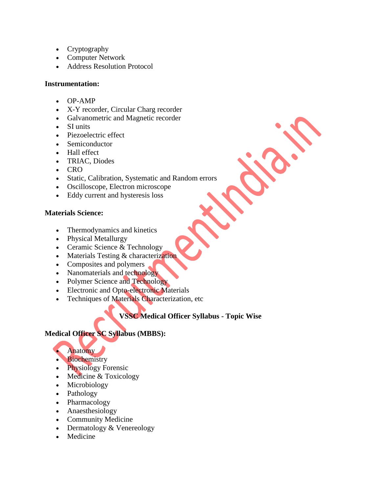- Cryptography
- Computer Network
- Address Resolution Protocol

# **Instrumentation:**

- $OP-AMP$
- X-Y recorder, Circular Charg recorder
- Galvanometric and Magnetic recorder
- SI units
- Piezoelectric effect
- Semiconductor
- Hall effect
- TRIAC, Diodes
- CRO
- Static, Calibration, Systematic and Random errors
- Oscilloscope, Electron microscope
- Eddy current and hysteresis loss

# **Materials Science:**

- Thermodynamics and kinetics
- Physical Metallurgy
- Ceramic Science & Technology
- Materials Testing & characterization
- Composites and polymers
- Nanomaterials and technology
- Polymer Science and Technology
- Electronic and Opto-electronic Materials
- **•** Techniques of Materials Characterization, etc

# **VSSC Medical Officer Syllabus - Topic Wise**

# **Medical Officer SC Syllabus (MBBS):**



- **Biochemistry**
- Physiology Forensic
- Medicine & Toxicology
- Microbiology
- Pathology
- Pharmacology
- Anaesthesiology
- Community Medicine
- Dermatology & Venereology
- Medicine